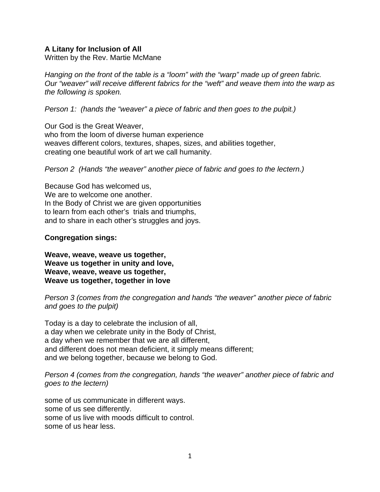## **A Litany for Inclusion of All**

Written by the Rev. Martie McMane

*Hanging on the front of the table is a "loom" with the "warp" made up of green fabric. Our "weaver" will receive different fabrics for the "weft" and weave them into the warp as the following is spoken.* 

*Person 1: (hands the "weaver" a piece of fabric and then goes to the pulpit.)* 

Our God is the Great Weaver,

who from the loom of diverse human experience weaves different colors, textures, shapes, sizes, and abilities together, creating one beautiful work of art we call humanity.

*Person 2 (Hands "the weaver" another piece of fabric and goes to the lectern.)* 

Because God has welcomed us, We are to welcome one another. In the Body of Christ we are given opportunities to learn from each other's trials and triumphs, and to share in each other's struggles and joys.

## **Congregation sings:**

**Weave, weave, weave us together, Weave us together in unity and love, Weave, weave, weave us together, Weave us together, together in love**

*Person 3 (comes from the congregation and hands "the weaver" another piece of fabric and goes to the pulpit)* 

Today is a day to celebrate the inclusion of all, a day when we celebrate unity in the Body of Christ, a day when we remember that we are all different, and different does not mean deficient, it simply means different; and we belong together, because we belong to God.

*Person 4 (comes from the congregation, hands "the weaver" another piece of fabric and goes to the lectern)* 

some of us communicate in different ways. some of us see differently. some of us live with moods difficult to control. some of us hear less.